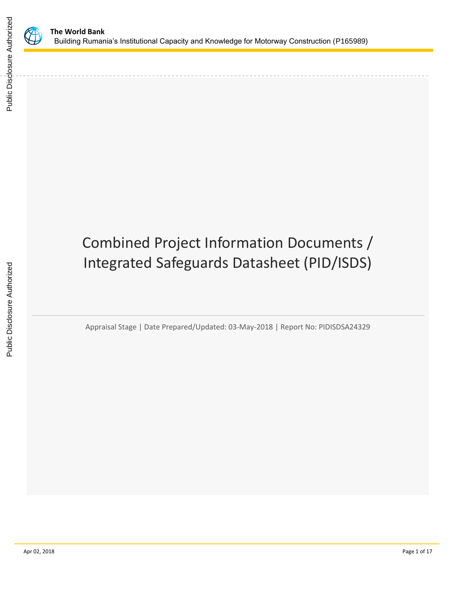

Public Disclosure Authorized

Public Disclosure Authorized

# Combined Project Information Documents / Integrated Safeguards Datasheet (PID/ISDS)

Appraisal Stage | Date Prepared/Updated: 03-May-2018 | Report No: PIDISDSA24329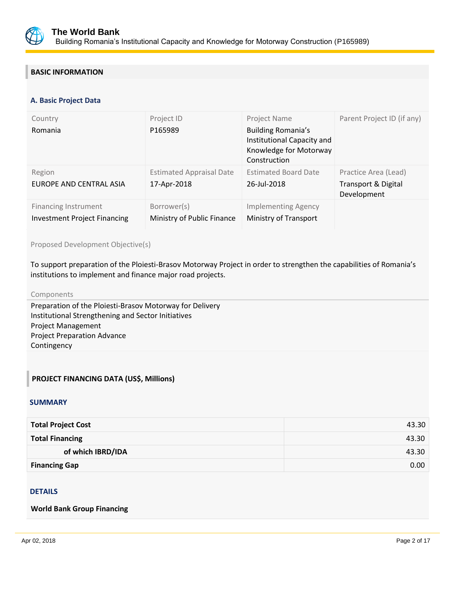

## **BASIC INFORMATION**

#### **OPS\_TABLE\_BASIC\_DATA A. Basic Project Data**

| Country<br>Romania                                                 | Project ID<br>P165989                          | Project Name<br><b>Building Romania's</b><br>Institutional Capacity and<br>Knowledge for Motorway<br>Construction | Parent Project ID (if any)                                            |
|--------------------------------------------------------------------|------------------------------------------------|-------------------------------------------------------------------------------------------------------------------|-----------------------------------------------------------------------|
| Region<br>EUROPE AND CENTRAL ASIA                                  | <b>Estimated Appraisal Date</b><br>17-Apr-2018 | <b>Estimated Board Date</b><br>26-Jul-2018                                                                        | Practice Area (Lead)<br><b>Transport &amp; Digital</b><br>Development |
| <b>Financing Instrument</b><br><b>Investment Project Financing</b> | Borrower(s)<br>Ministry of Public Finance      | <b>Implementing Agency</b><br>Ministry of Transport                                                               |                                                                       |

Proposed Development Objective(s)

To support preparation of the Ploiesti-Brasov Motorway Project in order to strengthen the capabilities of Romania's institutions to implement and finance major road projects.

#### Components

Preparation of the Ploiesti-Brasov Motorway for Delivery Institutional Strengthening and Sector Initiatives Project Management Project Preparation Advance Contingency

## **PROJECT FINANCING DATA (US\$, Millions)**

#### **SUMMARY**

| <b>Total Project Cost</b> | 43.30 |
|---------------------------|-------|
| <b>Total Financing</b>    | 43.30 |
| of which IBRD/IDA         | 43.30 |
| <b>Financing Gap</b>      | 0.00  |

## DETAILS

#### **World Bank Group Financing**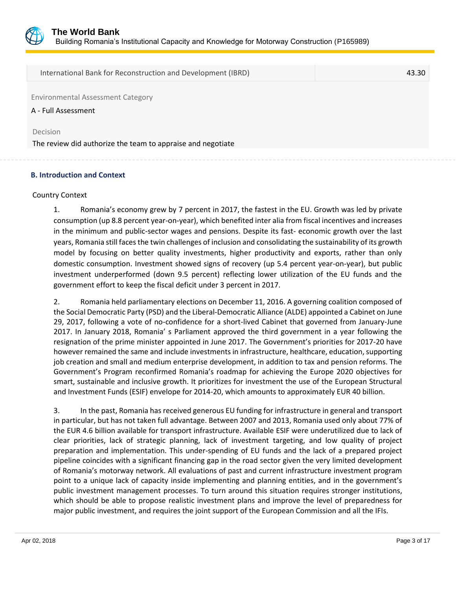

International Bank for Reconstruction and Development (IBRD) 43.30

Environmental Assessment Category

A - Full Assessment

Decision

The review did authorize the team to appraise and negotiate

#### **B. Introduction and Context**

#### Country Context

1. Romania's economy grew by 7 percent in 2017, the fastest in the EU. Growth was led by private consumption (up 8.8 percent year-on-year), which benefited inter alia from fiscal incentives and increases in the minimum and public-sector wages and pensions. Despite its fast- economic growth over the last years, Romania still faces the twin challenges of inclusion and consolidating the sustainability of its growth model by focusing on better quality investments, higher productivity and exports, rather than only domestic consumption. Investment showed signs of recovery (up 5.4 percent year-on-year), but public investment underperformed (down 9.5 percent) reflecting lower utilization of the EU funds and the government effort to keep the fiscal deficit under 3 percent in 2017.

2. Romania held parliamentary elections on December 11, 2016. A governing coalition composed of the Social Democratic Party (PSD) and the Liberal-Democratic Alliance (ALDE) appointed a Cabinet on June 29, 2017, following a vote of no-confidence for a short-lived Cabinet that governed from January-June 2017. In January 2018, Romania' s Parliament approved the third government in a year following the resignation of the prime minister appointed in June 2017. The Government's priorities for 2017-20 have however remained the same and include investments in infrastructure, healthcare, education, supporting job creation and small and medium enterprise development, in addition to tax and pension reforms. The Government's Program reconfirmed Romania's roadmap for achieving the Europe 2020 objectives for smart, sustainable and inclusive growth. It prioritizes for investment the use of the European Structural and Investment Funds (ESIF) envelope for 2014-20, which amounts to approximately EUR 40 billion.

3. In the past, Romania has received generous EU funding for infrastructure in general and transport in particular, but has not taken full advantage. Between 2007 and 2013, Romania used only about 77% of the EUR 4.6 billion available for transport infrastructure. Available ESIF were underutilized due to lack of clear priorities, lack of strategic planning, lack of investment targeting, and low quality of project preparation and implementation. This under-spending of EU funds and the lack of a prepared project pipeline coincides with a significant financing gap in the road sector given the very limited development of Romania's motorway network. All evaluations of past and current infrastructure investment program point to a unique lack of capacity inside implementing and planning entities, and in the government's public investment management processes. To turn around this situation requires stronger institutions, which should be able to propose realistic investment plans and improve the level of preparedness for major public investment, and requires the joint support of the European Commission and all the IFIs.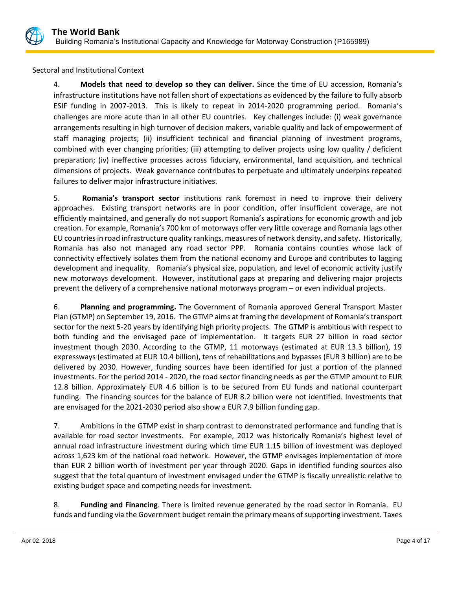

Sectoral and Institutional Context

4. **Models that need to develop so they can deliver.** Since the time of EU accession, Romania's infrastructure institutions have not fallen short of expectations as evidenced by the failure to fully absorb ESIF funding in 2007-2013. This is likely to repeat in 2014-2020 programming period. Romania's challenges are more acute than in all other EU countries. Key challenges include: (i) weak governance arrangements resulting in high turnover of decision makers, variable quality and lack of empowerment of staff managing projects; (ii) insufficient technical and financial planning of investment programs, combined with ever changing priorities; (iii) attempting to deliver projects using low quality / deficient preparation; (iv) ineffective processes across fiduciary, environmental, land acquisition, and technical dimensions of projects. Weak governance contributes to perpetuate and ultimately underpins repeated failures to deliver major infrastructure initiatives.

5. **Romania's transport sector** institutions rank foremost in need to improve their delivery approaches. Existing transport networks are in poor condition, offer insufficient coverage, are not efficiently maintained, and generally do not support Romania's aspirations for economic growth and job creation. For example, Romania's 700 km of motorways offer very little coverage and Romania lags other EU countries in road infrastructure quality rankings, measures of network density, and safety. Historically, Romania has also not managed any road sector PPP. Romania contains counties whose lack of connectivity effectively isolates them from the national economy and Europe and contributes to lagging development and inequality. Romania's physical size, population, and level of economic activity justify new motorways development. However, institutional gaps at preparing and delivering major projects prevent the delivery of a comprehensive national motorways program – or even individual projects.

6. **Planning and programming.** The Government of Romania approved General Transport Master Plan (GTMP) on September 19, 2016. The GTMP aims at framing the development of Romania's transport sector for the next 5-20 years by identifying high priority projects. The GTMP is ambitious with respect to both funding and the envisaged pace of implementation. It targets EUR 27 billion in road sector investment though 2030. According to the GTMP, 11 motorways (estimated at EUR 13.3 billion), 19 expressways (estimated at EUR 10.4 billion), tens of rehabilitations and bypasses (EUR 3 billion) are to be delivered by 2030. However, funding sources have been identified for just a portion of the planned investments. For the period 2014 - 2020, the road sector financing needs as per the GTMP amount to EUR 12.8 billion. Approximately EUR 4.6 billion is to be secured from EU funds and national counterpart funding. The financing sources for the balance of EUR 8.2 billion were not identified. Investments that are envisaged for the 2021-2030 period also show a EUR 7.9 billion funding gap.

7. Ambitions in the GTMP exist in sharp contrast to demonstrated performance and funding that is available for road sector investments. For example, 2012 was historically Romania's highest level of annual road infrastructure investment during which time EUR 1.15 billion of investment was deployed across 1,623 km of the national road network. However, the GTMP envisages implementation of more than EUR 2 billion worth of investment per year through 2020. Gaps in identified funding sources also suggest that the total quantum of investment envisaged under the GTMP is fiscally unrealistic relative to existing budget space and competing needs for investment.

8. **Funding and Financing**. There is limited revenue generated by the road sector in Romania. EU funds and funding via the Government budget remain the primary means of supporting investment. Taxes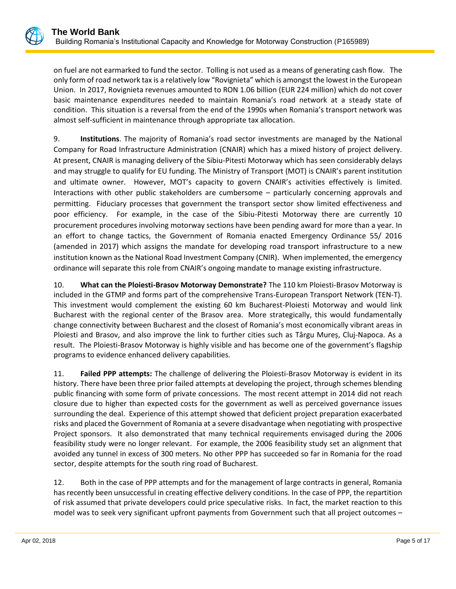on fuel are not earmarked to fund the sector. Tolling is not used as a means of generating cash flow. The only form of road network tax is a relatively low "Rovignieta" which is amongst the lowest in the European Union. In 2017, Rovignieta revenues amounted to RON 1.06 billion (EUR 224 million) which do not cover basic maintenance expenditures needed to maintain Romania's road network at a steady state of condition. This situation is a reversal from the end of the 1990s when Romania's transport network was almost self-sufficient in maintenance through appropriate tax allocation.

9. **Institutions**. The majority of Romania's road sector investments are managed by the National Company for Road Infrastructure Administration (CNAIR) which has a mixed history of project delivery. At present, CNAIR is managing delivery of the Sibiu-Pitesti Motorway which has seen considerably delays and may struggle to qualify for EU funding. The Ministry of Transport (MOT) is CNAIR's parent institution and ultimate owner. However, MOT's capacity to govern CNAIR's activities effectively is limited. Interactions with other public stakeholders are cumbersome – particularly concerning approvals and permitting. Fiduciary processes that government the transport sector show limited effectiveness and poor efficiency. For example, in the case of the Sibiu-Pitesti Motorway there are currently 10 procurement procedures involving motorway sections have been pending award for more than a year. In an effort to change tactics, the Government of Romania enacted Emergency Ordinance 55/ 2016 (amended in 2017) which assigns the mandate for developing road transport infrastructure to a new institution known as the National Road Investment Company (CNIR). When implemented, the emergency ordinance will separate this role from CNAIR's ongoing mandate to manage existing infrastructure.

10. **What can the Ploiesti-Brasov Motorway Demonstrate?** The 110 km Ploiesti-Brasov Motorway is included in the GTMP and forms part of the comprehensive Trans-European Transport Network (TEN-T). This investment would complement the existing 60 km Bucharest-Ploiesti Motorway and would link Bucharest with the regional center of the Brasov area. More strategically, this would fundamentally change connectivity between Bucharest and the closest of Romania's most economically vibrant areas in Ploiesti and Brasov, and also improve the link to further cities such as Târgu Mureș, Cluj-Napoca. As a result. The Ploiesti-Brasov Motorway is highly visible and has become one of the government's flagship programs to evidence enhanced delivery capabilities.

11. **Failed PPP attempts:** The challenge of delivering the Ploiesti-Brasov Motorway is evident in its history. There have been three prior failed attempts at developing the project, through schemes blending public financing with some form of private concessions. The most recent attempt in 2014 did not reach closure due to higher than expected costs for the government as well as perceived governance issues surrounding the deal. Experience of this attempt showed that deficient project preparation exacerbated risks and placed the Government of Romania at a severe disadvantage when negotiating with prospective Project sponsors. It also demonstrated that many technical requirements envisaged during the 2006 feasibility study were no longer relevant. For example, the 2006 feasibility study set an alignment that avoided any tunnel in excess of 300 meters. No other PPP has succeeded so far in Romania for the road sector, despite attempts for the south ring road of Bucharest.

12. Both in the case of PPP attempts and for the management of large contracts in general, Romania has recently been unsuccessful in creating effective delivery conditions. In the case of PPP, the repartition of risk assumed that private developers could price speculative risks. In fact, the market reaction to this model was to seek very significant upfront payments from Government such that all project outcomes –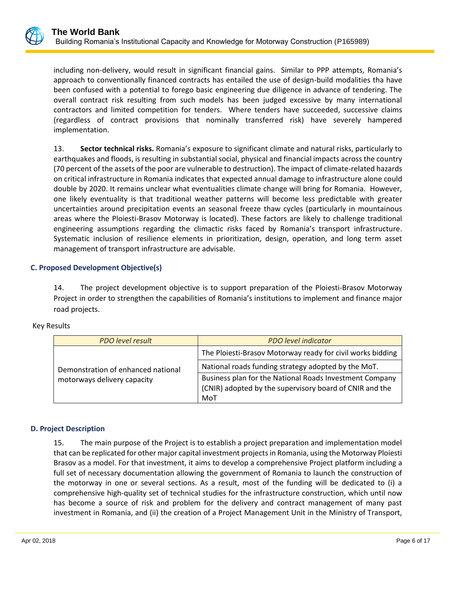

including non-delivery, would result in significant financial gains. Similar to PPP attempts, Romania's approach to conventionally financed contracts has entailed the use of design-build modalities tha have been confused with a potential to forego basic engineering due diligence in advance of tendering. The overall contract risk resulting from such models has been judged excessive by many international contractors and limited competition for tenders. Where tenders have succeeded, successive claims (regardless of contract provisions that nominally transferred risk) have severely hampered implementation.

13. **Sector technical risks.** Romania's exposure to significant climate and natural risks, particularly to earthquakes and floods, is resulting in substantial social, physical and financial impacts across the country (70 percent of the assets of the poor are vulnerable to destruction). The impact of climate-related hazards on critical infrastructure in Romania indicates that expected annual damage to infrastructure alone could double by 2020. It remains unclear what eventualities climate change will bring for Romania. However, one likely eventuality is that traditional weather patterns will become less predictable with greater uncertainties around precipitation events an seasonal freeze thaw cycles (particularly in mountainous areas where the Ploiesti-Brasov Motorway is located). These factors are likely to challenge traditional engineering assumptions regarding the climactic risks faced by Romania's transport infrastructure. Systematic inclusion of resilience elements in prioritization, design, operation, and long term asset management of transport infrastructure are advisable.

## **C. Proposed Development Objective(s)**

14. The project development objective is to support preparation of the Ploiesti-Brasov Motorway Project in order to strengthen the capabilities of Romania's institutions to implement and finance major road projects.

| <b>PDO</b> level result                                           | <b>PDO</b> level indicator                                                                                                |  |
|-------------------------------------------------------------------|---------------------------------------------------------------------------------------------------------------------------|--|
| Demonstration of enhanced national<br>motorways delivery capacity | The Ploiesti-Brasov Motorway ready for civil works bidding                                                                |  |
|                                                                   | National roads funding strategy adopted by the MoT.                                                                       |  |
|                                                                   | Business plan for the National Roads Investment Company<br>(CNIR) adopted by the supervisory board of CNIR and the<br>MoT |  |

## **D. Project Description**

15. The main purpose of the Project is to establish a project preparation and implementation model that can be replicated for other major capital investment projects in Romania, using the Motorway Ploiesti Brasov as a model. For that investment, it aims to develop a comprehensive Project platform including a full set of necessary documentation allowing the government of Romania to launch the construction of the motorway in one or several sections. As a result, most of the funding will be dedicated to (i) a comprehensive high-quality set of technical studies for the infrastructure construction, which until now has become a source of risk and problem for the delivery and contract management of many past investment in Romania, and (ii) the creation of a Project Management Unit in the Ministry of Transport,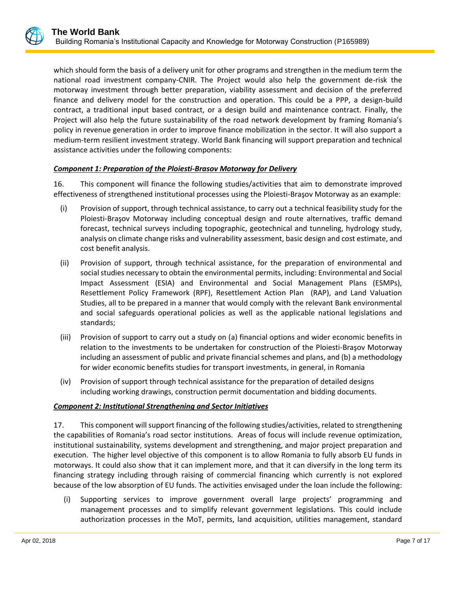which should form the basis of a delivery unit for other programs and strengthen in the medium term the national road investment company-CNIR. The Project would also help the government de-risk the motorway investment through better preparation, viability assessment and decision of the preferred finance and delivery model for the construction and operation. This could be a PPP, a design-build contract, a traditional input based contract, or a design build and maintenance contract. Finally, the Project will also help the future sustainability of the road network development by framing Romania's policy in revenue generation in order to improve finance mobilization in the sector. It will also support a medium-term resilient investment strategy. World Bank financing will support preparation and technical assistance activities under the following components:

## *Component 1: Preparation of the Ploiesti-Brasov Motorway for Delivery*

16. This component will finance the following studies/activities that aim to demonstrate improved effectiveness of strengthened institutional processes using the Ploiesti-Braşov Motorway as an example:

- (i) Provision of support, through technical assistance, to carry out a technical feasibility study for the Ploiesti-Braşov Motorway including conceptual design and route alternatives, traffic demand forecast, technical surveys including topographic, geotechnical and tunneling, hydrology study, analysis on climate change risks and vulnerability assessment, basic design and cost estimate, and cost benefit analysis.
- (ii) Provision of support, through technical assistance, for the preparation of environmental and social studies necessary to obtain the environmental permits, including: Environmental and Social Impact Assessment (ESIA) and Environmental and Social Management Plans (ESMPs), Resettlement Policy Framework (RPF), Resettlement Action Plan (RAP), and Land Valuation Studies, all to be prepared in a manner that would comply with the relevant Bank environmental and social safeguards operational policies as well as the applicable national legislations and standards;
- (iii) Provision of support to carry out a study on (a) financial options and wider economic benefits in relation to the investments to be undertaken for construction of the Ploiesti-Braşov Motorway including an assessment of public and private financial schemes and plans, and (b) a methodology for wider economic benefits studies for transport investments, in general, in Romania
- (iv) Provision of support through technical assistance for the preparation of detailed designs including working drawings, construction permit documentation and bidding documents.

#### *Component 2: Institutional Strengthening and Sector Initiatives*

17. This component will support financing of the following studies/activities, related to strengthening the capabilities of Romania's road sector institutions. Areas of focus will include revenue optimization, institutional sustainability, systems development and strengthening, and major project preparation and execution. The higher level objective of this component is to allow Romania to fully absorb EU funds in motorways. It could also show that it can implement more, and that it can diversify in the long term its financing strategy including through raising of commercial financing which currently is not explored because of the low absorption of EU funds. The activities envisaged under the loan include the following:

(i) Supporting services to improve government overall large projects' programming and management processes and to simplify relevant government legislations. This could include authorization processes in the MoT, permits, land acquisition, utilities management, standard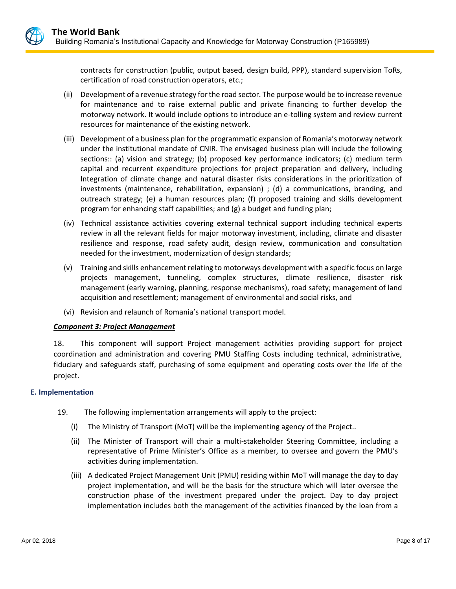contracts for construction (public, output based, design build, PPP), standard supervision ToRs, certification of road construction operators, etc.;

- (ii) Development of a revenue strategy for the road sector. The purpose would be to increase revenue for maintenance and to raise external public and private financing to further develop the motorway network. It would include options to introduce an e-tolling system and review current resources for maintenance of the existing network.
- (iii) Development of a business plan for the programmatic expansion of Romania's motorway network under the institutional mandate of CNIR. The envisaged business plan will include the following sections:: (a) vision and strategy; (b) proposed key performance indicators; (c) medium term capital and recurrent expenditure projections for project preparation and delivery, including Integration of climate change and natural disaster risks considerations in the prioritization of investments (maintenance, rehabilitation, expansion) ; (d) a communications, branding, and outreach strategy; (e) a human resources plan; (f) proposed training and skills development program for enhancing staff capabilities; and (g) a budget and funding plan;
- (iv) Technical assistance activities covering external technical support including technical experts review in all the relevant fields for major motorway investment, including, climate and disaster resilience and response, road safety audit, design review, communication and consultation needed for the investment, modernization of design standards;
- (v) Training and skills enhancement relating to motorways development with a specific focus on large projects management, tunneling, complex structures, climate resilience, disaster risk management (early warning, planning, response mechanisms), road safety; management of land acquisition and resettlement; management of environmental and social risks, and
- (vi) Revision and relaunch of Romania's national transport model.

## *Component 3: Project Management*

18. This component will support Project management activities providing support for project coordination and administration and covering PMU Staffing Costs including technical, administrative, fiduciary and safeguards staff, purchasing of some equipment and operating costs over the life of the project.

## **E. Implementation**

- 19. The following implementation arrangements will apply to the project:
	- (i) The Ministry of Transport (MoT) will be the implementing agency of the Project..
	- (ii) The Minister of Transport will chair a multi-stakeholder Steering Committee, including a representative of Prime Minister's Office as a member, to oversee and govern the PMU's activities during implementation.
	- (iii) A dedicated Project Management Unit (PMU) residing within MoT will manage the day to day project implementation, and will be the basis for the structure which will later oversee the construction phase of the investment prepared under the project. Day to day project implementation includes both the management of the activities financed by the loan from a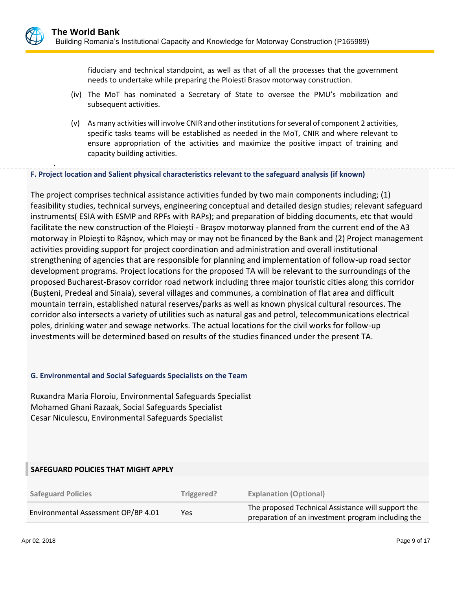fiduciary and technical standpoint, as well as that of all the processes that the government needs to undertake while preparing the Ploiesti Brasov motorway construction.

- (iv) The MoT has nominated a Secretary of State to oversee the PMU's mobilization and subsequent activities.
- (v) As many activities will involve CNIR and other institutions for several of component 2 activities, specific tasks teams will be established as needed in the MoT, CNIR and where relevant to ensure appropriation of the activities and maximize the positive impact of training and capacity building activities.

**F. Project location and Salient physical characteristics relevant to the safeguard analysis (if known)**

The project comprises technical assistance activities funded by two main components including; (1) feasibility studies, technical surveys, engineering conceptual and detailed design studies; relevant safeguard instruments( ESIA with ESMP and RPFs with RAPs); and preparation of bidding documents, etc that would facilitate the new construction of the Ploiești - Braşov motorway planned from the current end of the A3 motorway in Ploiești to Rȃșnov, which may or may not be financed by the Bank and (2) Project management activities providing support for project coordination and administration and overall institutional strengthening of agencies that are responsible for planning and implementation of follow-up road sector development programs. Project locations for the proposed TA will be relevant to the surroundings of the proposed Bucharest-Brasov corridor road network including three major touristic cities along this corridor (Bușteni, Predeal and Sinaia), several villages and communes, a combination of flat area and difficult mountain terrain, established natural reserves/parks as well as known physical cultural resources. The corridor also intersects a variety of utilities such as natural gas and petrol, telecommunications electrical poles, drinking water and sewage networks. The actual locations for the civil works for follow-up investments will be determined based on results of the studies financed under the present TA.

#### **G. Environmental and Social Safeguards Specialists on the Team**

Ruxandra Maria Floroiu, Environmental Safeguards Specialist Mohamed Ghani Razaak, Social Safeguards Specialist Cesar Niculescu, Environmental Safeguards Specialist

#### **SAFEGUARD POLICIES THAT MIGHT APPLY**

| <b>Safeguard Policies</b>           | Triggered? | <b>Explanation (Optional)</b>                                                                            |
|-------------------------------------|------------|----------------------------------------------------------------------------------------------------------|
| Environmental Assessment OP/BP 4.01 | Yes        | The proposed Technical Assistance will support the<br>preparation of an investment program including the |

.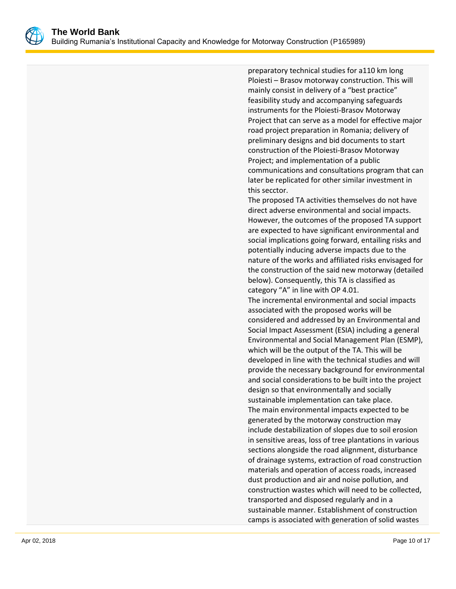

preparatory technical studies for a110 km long Ploiesti – Brasov motorway construction. This will mainly consist in delivery of a "best practice" feasibility study and accompanying safeguards instruments for the Ploiesti-Brasov Motorway Project that can serve as a model for effective major road project preparation in Romania; delivery of preliminary designs and bid documents to start construction of the Ploiesti-Brasov Motorway Project; and implementation of a public communications and consultations program that can later be replicated for other similar investment in this secctor.

The proposed TA activities themselves do not have direct adverse environmental and social impacts. However, the outcomes of the proposed TA support are expected to have significant environmental and social implications going forward, entailing risks and potentially inducing adverse impacts due to the nature of the works and affiliated risks envisaged for the construction of the said new motorway (detailed below). Consequently, this TA is classified as category "A" in line with OP 4.01.

The incremental environmental and social impacts associated with the proposed works will be considered and addressed by an Environmental and Social Impact Assessment (ESIA) including a general Environmental and Social Management Plan (ESMP), which will be the output of the TA. This will be developed in line with the technical studies and will provide the necessary background for environmental and social considerations to be built into the project design so that environmentally and socially sustainable implementation can take place. The main environmental impacts expected to be generated by the motorway construction may include destabilization of slopes due to soil erosion in sensitive areas, loss of tree plantations in various sections alongside the road alignment, disturbance of drainage systems, extraction of road construction materials and operation of access roads, increased dust production and air and noise pollution, and construction wastes which will need to be collected, transported and disposed regularly and in a sustainable manner. Establishment of construction camps is associated with generation of solid wastes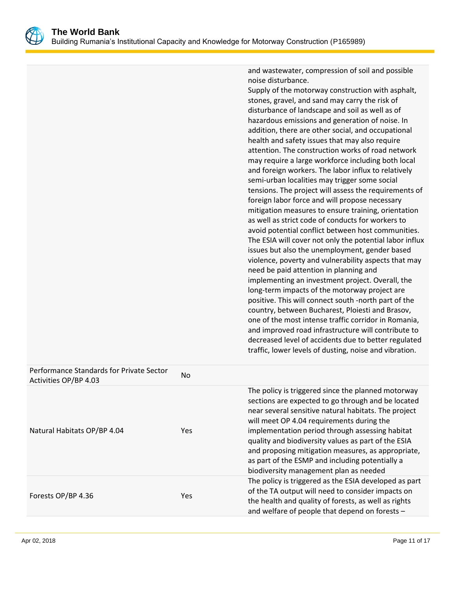

and wastewater, compression of soil and possible noise disturbance.

|                                                                   |     | Supply of the motorway construction with asphalt,<br>stones, gravel, and sand may carry the risk of<br>disturbance of landscape and soil as well as of<br>hazardous emissions and generation of noise. In<br>addition, there are other social, and occupational<br>health and safety issues that may also require<br>attention. The construction works of road network<br>may require a large workforce including both local<br>and foreign workers. The labor influx to relatively<br>semi-urban localities may trigger some social<br>tensions. The project will assess the requirements of<br>foreign labor force and will propose necessary<br>mitigation measures to ensure training, orientation<br>as well as strict code of conducts for workers to<br>avoid potential conflict between host communities.<br>The ESIA will cover not only the potential labor influx<br>issues but also the unemployment, gender based<br>violence, poverty and vulnerability aspects that may<br>need be paid attention in planning and<br>implementing an investment project. Overall, the<br>long-term impacts of the motorway project are<br>positive. This will connect south -north part of the<br>country, between Bucharest, Ploiesti and Brasov,<br>one of the most intense traffic corridor in Romania,<br>and improved road infrastructure will contribute to<br>decreased level of accidents due to better regulated<br>traffic, lower levels of dusting, noise and vibration. |
|-------------------------------------------------------------------|-----|------------------------------------------------------------------------------------------------------------------------------------------------------------------------------------------------------------------------------------------------------------------------------------------------------------------------------------------------------------------------------------------------------------------------------------------------------------------------------------------------------------------------------------------------------------------------------------------------------------------------------------------------------------------------------------------------------------------------------------------------------------------------------------------------------------------------------------------------------------------------------------------------------------------------------------------------------------------------------------------------------------------------------------------------------------------------------------------------------------------------------------------------------------------------------------------------------------------------------------------------------------------------------------------------------------------------------------------------------------------------------------------------------------------------------------------------------------------------------------|
| Performance Standards for Private Sector<br>Activities OP/BP 4.03 | No  |                                                                                                                                                                                                                                                                                                                                                                                                                                                                                                                                                                                                                                                                                                                                                                                                                                                                                                                                                                                                                                                                                                                                                                                                                                                                                                                                                                                                                                                                                    |
| Natural Habitats OP/BP 4.04                                       | Yes | The policy is triggered since the planned motorway<br>sections are expected to go through and be located<br>near several sensitive natural habitats. The project<br>will meet OP 4.04 requirements during the<br>implementation period through assessing habitat<br>quality and biodiversity values as part of the ESIA<br>and proposing mitigation measures, as appropriate,<br>as part of the ESMP and including potentially a<br>biodiversity management plan as needed                                                                                                                                                                                                                                                                                                                                                                                                                                                                                                                                                                                                                                                                                                                                                                                                                                                                                                                                                                                                         |
| Forests OP/BP 4.36                                                | Yes | The policy is triggered as the ESIA developed as part<br>of the TA output will need to consider impacts on<br>the health and quality of forests, as well as rights<br>and welfare of people that depend on forests -                                                                                                                                                                                                                                                                                                                                                                                                                                                                                                                                                                                                                                                                                                                                                                                                                                                                                                                                                                                                                                                                                                                                                                                                                                                               |
|                                                                   |     |                                                                                                                                                                                                                                                                                                                                                                                                                                                                                                                                                                                                                                                                                                                                                                                                                                                                                                                                                                                                                                                                                                                                                                                                                                                                                                                                                                                                                                                                                    |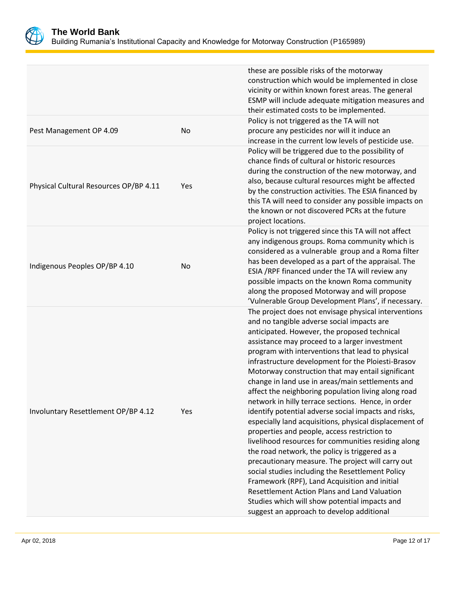

Building Rumania's Institutional Capacity and Knowledge for Motorway Construction (P165989)

|                                        |           | these are possible risks of the motorway<br>construction which would be implemented in close<br>vicinity or within known forest areas. The general<br>ESMP will include adequate mitigation measures and<br>their estimated costs to be implemented.                                                                                                                                                                                                                                                                                                                                                                                                                                                                                                                                                                                                                                                                                                                                                                                                                                                                   |
|----------------------------------------|-----------|------------------------------------------------------------------------------------------------------------------------------------------------------------------------------------------------------------------------------------------------------------------------------------------------------------------------------------------------------------------------------------------------------------------------------------------------------------------------------------------------------------------------------------------------------------------------------------------------------------------------------------------------------------------------------------------------------------------------------------------------------------------------------------------------------------------------------------------------------------------------------------------------------------------------------------------------------------------------------------------------------------------------------------------------------------------------------------------------------------------------|
| Pest Management OP 4.09                | No        | Policy is not triggered as the TA will not<br>procure any pesticides nor will it induce an<br>increase in the current low levels of pesticide use.                                                                                                                                                                                                                                                                                                                                                                                                                                                                                                                                                                                                                                                                                                                                                                                                                                                                                                                                                                     |
| Physical Cultural Resources OP/BP 4.11 | Yes       | Policy will be triggered due to the possibility of<br>chance finds of cultural or historic resources<br>during the construction of the new motorway, and<br>also, because cultural resources might be affected<br>by the construction activities. The ESIA financed by<br>this TA will need to consider any possible impacts on<br>the known or not discovered PCRs at the future<br>project locations.                                                                                                                                                                                                                                                                                                                                                                                                                                                                                                                                                                                                                                                                                                                |
| Indigenous Peoples OP/BP 4.10          | <b>No</b> | Policy is not triggered since this TA will not affect<br>any indigenous groups. Roma community which is<br>considered as a vulnerable group and a Roma filter<br>has been developed as a part of the appraisal. The<br>ESIA /RPF financed under the TA will review any<br>possible impacts on the known Roma community<br>along the proposed Motorway and will propose<br>'Vulnerable Group Development Plans', if necessary.                                                                                                                                                                                                                                                                                                                                                                                                                                                                                                                                                                                                                                                                                          |
| Involuntary Resettlement OP/BP 4.12    | Yes       | The project does not envisage physical interventions<br>and no tangible adverse social impacts are<br>anticipated. However, the proposed technical<br>assistance may proceed to a larger investment<br>program with interventions that lead to physical<br>infrastructure development for the Ploiesti-Brasov<br>Motorway construction that may entail significant<br>change in land use in areas/main settlements and<br>affect the neighboring population living along road<br>network in hilly terrace sections. Hence, in order<br>identify potential adverse social impacts and risks,<br>especially land acquisitions, physical displacement of<br>properties and people, access restriction to<br>livelihood resources for communities residing along<br>the road network, the policy is triggered as a<br>precautionary measure. The project will carry out<br>social studies including the Resettlement Policy<br>Framework (RPF), Land Acquisition and initial<br>Resettlement Action Plans and Land Valuation<br>Studies which will show potential impacts and<br>suggest an approach to develop additional |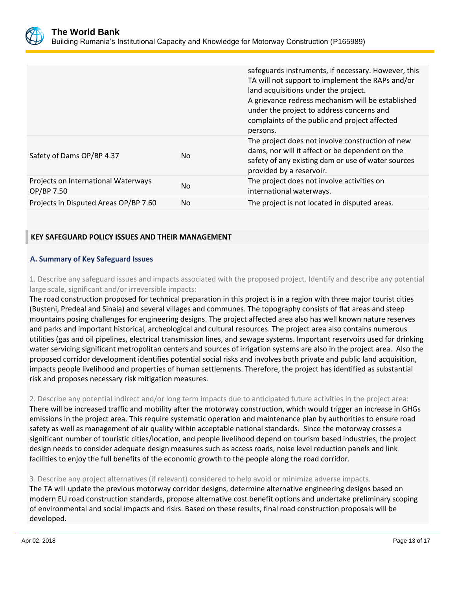

|                                                   |     | safeguards instruments, if necessary. However, this<br>TA will not support to implement the RAPs and/or<br>land acquisitions under the project.<br>A grievance redress mechanism will be established<br>under the project to address concerns and<br>complaints of the public and project affected<br>persons. |
|---------------------------------------------------|-----|----------------------------------------------------------------------------------------------------------------------------------------------------------------------------------------------------------------------------------------------------------------------------------------------------------------|
| Safety of Dams OP/BP 4.37                         | No. | The project does not involve construction of new<br>dams, nor will it affect or be dependent on the<br>safety of any existing dam or use of water sources<br>provided by a reservoir.                                                                                                                          |
| Projects on International Waterways<br>OP/BP 7.50 | No. | The project does not involve activities on<br>international waterways.                                                                                                                                                                                                                                         |
| Projects in Disputed Areas OP/BP 7.60             | No. | The project is not located in disputed areas.                                                                                                                                                                                                                                                                  |

## **KEY SAFEGUARD POLICY ISSUES AND THEIR MANAGEMENT**

## **A. Summary of Key Safeguard Issues**

1. Describe any safeguard issues and impacts associated with the proposed project. Identify and describe any potential large scale, significant and/or irreversible impacts:

The road construction proposed for technical preparation in this project is in a region with three major tourist cities (Bușteni, Predeal and Sinaia) and several villages and communes. The topography consists of flat areas and steep mountains posing challenges for engineering designs. The project affected area also has well known nature reserves and parks and important historical, archeological and cultural resources. The project area also contains numerous utilities (gas and oil pipelines, electrical transmission lines, and sewage systems. Important reservoirs used for drinking water servicing significant metropolitan centers and sources of irrigation systems are also in the project area. Also the proposed corridor development identifies potential social risks and involves both private and public land acquisition, impacts people livelihood and properties of human settlements. Therefore, the project has identified as substantial risk and proposes necessary risk mitigation measures.

## 2. Describe any potential indirect and/or long term impacts due to anticipated future activities in the project area:

There will be increased traffic and mobility after the motorway construction, which would trigger an increase in GHGs emissions in the project area. This require systematic operation and maintenance plan by authorities to ensure road safety as well as management of air quality within acceptable national standards. Since the motorway crosses a significant number of touristic cities/location, and people livelihood depend on tourism based industries, the project design needs to consider adequate design measures such as access roads, noise level reduction panels and link facilities to enjoy the full benefits of the economic growth to the people along the road corridor.

## 3. Describe any project alternatives (if relevant) considered to help avoid or minimize adverse impacts.

The TA will update the previous motorway corridor designs, determine alternative engineering designs based on modern EU road construction standards, propose alternative cost benefit options and undertake preliminary scoping of environmental and social impacts and risks. Based on these results, final road construction proposals will be developed.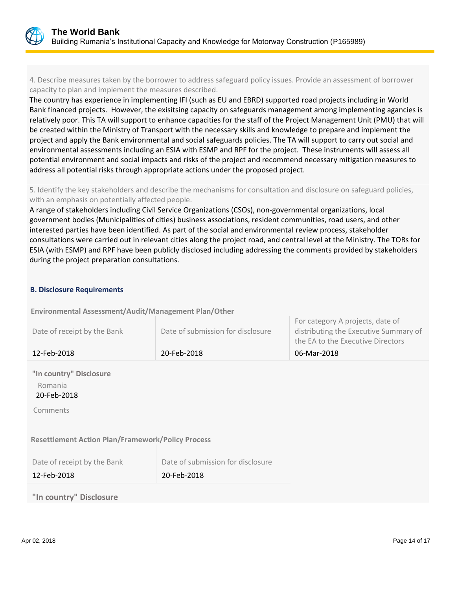

4. Describe measures taken by the borrower to address safeguard policy issues. Provide an assessment of borrower capacity to plan and implement the measures described.

The country has experience in implementing IFI (such as EU and EBRD) supported road projects including in World Bank financed projects. However, the exisitsing capacity on safeguards management among implementing agancies is relatively poor. This TA will support to enhance capacities for the staff of the Project Management Unit (PMU) that will be created within the Ministry of Transport with the necessary skills and knowledge to prepare and implement the project and apply the Bank environmental and social safeguards policies. The TA will support to carry out social and environmental assessments including an ESIA with ESMP and RPF for the project. These instruments will assess all potential environment and social impacts and risks of the project and recommend necessary mitigation measures to address all potential risks through appropriate actions under the proposed project.

5. Identify the key stakeholders and describe the mechanisms for consultation and disclosure on safeguard policies, with an emphasis on potentially affected people.

A range of stakeholders including Civil Service Organizations (CSOs), non-governmental organizations, local government bodies (Municipalities of cities) business associations, resident communities, road users, and other interested parties have been identified. As part of the social and environmental review process, stakeholder consultations were carried out in relevant cities along the project road, and central level at the Ministry. The TORs for ESIA (with ESMP) and RPF have been publicly disclosed including addressing the comments provided by stakeholders during the project preparation consultations.

#### **B. Disclosure Requirements**

**Environmental Assessment/Audit/Management Plan/Other** 

| Date of receipt by the Bank                                   | Date of submission for disclosure                | For category A projects, date of<br>distributing the Executive Summary of<br>the EA to the Executive Directors |
|---------------------------------------------------------------|--------------------------------------------------|----------------------------------------------------------------------------------------------------------------|
| 12-Feb-2018                                                   | 20-Feb-2018                                      | 06-Mar-2018                                                                                                    |
| "In country" Disclosure<br>Romania<br>20-Feb-2018<br>Comments |                                                  |                                                                                                                |
| <b>Resettlement Action Plan/Framework/Policy Process</b>      |                                                  |                                                                                                                |
| Date of receipt by the Bank<br>12-Feb-2018                    | Date of submission for disclosure<br>20-Feb-2018 |                                                                                                                |
| "In country" Disclosure                                       |                                                  |                                                                                                                |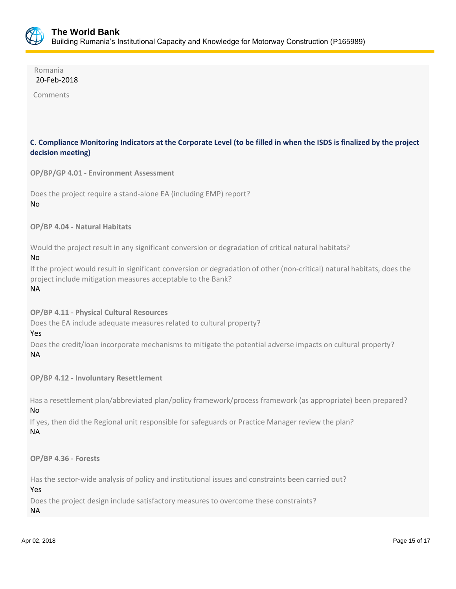

 Romania 20-Feb-2018

Comments

## **C. Compliance Monitoring Indicators at the Corporate Level (to be filled in when the ISDS is finalized by the project decision meeting)**

**OP/BP/GP 4.01 - Environment Assessment** 

```
Does the project require a stand-alone EA (including EMP) report?
No
```
**OP/BP 4.04 - Natural Habitats**

Would the project result in any significant conversion or degradation of critical natural habitats? No

If the project would result in significant conversion or degradation of other (non-critical) natural habitats, does the project include mitigation measures acceptable to the Bank? NA

**OP/BP 4.11 - Physical Cultural Resources**

Does the EA include adequate measures related to cultural property?

#### Yes

Does the credit/loan incorporate mechanisms to mitigate the potential adverse impacts on cultural property? NA

**OP/BP 4.12 - Involuntary Resettlement**

Has a resettlement plan/abbreviated plan/policy framework/process framework (as appropriate) been prepared? No

If yes, then did the Regional unit responsible for safeguards or Practice Manager review the plan? NA

**OP/BP 4.36 - Forests**

Has the sector-wide analysis of policy and institutional issues and constraints been carried out? Yes

Does the project design include satisfactory measures to overcome these constraints?

NA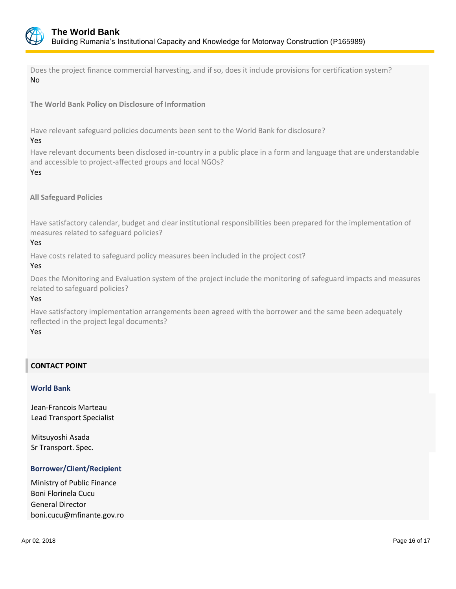

Does the project finance commercial harvesting, and if so, does it include provisions for certification system? No

**The World Bank Policy on Disclosure of Information**

Have relevant safeguard policies documents been sent to the World Bank for disclosure?

Yes

Have relevant documents been disclosed in-country in a public place in a form and language that are understandable and accessible to project-affected groups and local NGOs? Yes

**All Safeguard Policies**

Have satisfactory calendar, budget and clear institutional responsibilities been prepared for the implementation of measures related to safeguard policies?

## Yes

Have costs related to safeguard policy measures been included in the project cost?

## Yes

Does the Monitoring and Evaluation system of the project include the monitoring of safeguard impacts and measures related to safeguard policies?

## Yes

Have satisfactory implementation arrangements been agreed with the borrower and the same been adequately reflected in the project legal documents?

#### Yes

## **CONTACT POINT**

#### **World Bank**

Jean-Francois Marteau Lead Transport Specialist

Mitsuyoshi Asada Sr Transport. Spec.

## **Borrower/Client/Recipient**

Ministry of Public Finance Boni Florinela Cucu General Director boni.cucu@mfinante.gov.ro